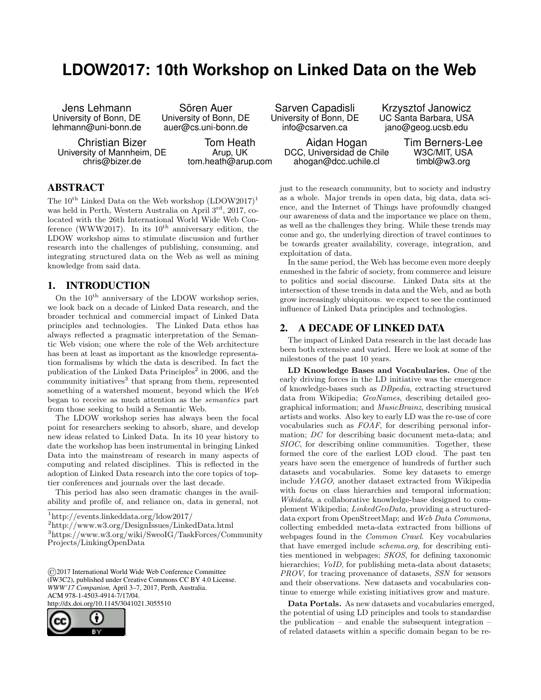## **LDOW2017: 10th Workshop on Linked Data on the Web**

Jens Lehmann University of Bonn, DE lehmann@uni-bonn.de

Sören Auer University of Bonn, DE auer@cs.uni-bonn.de

Christian Bizer University of Mannheim, DE chris@bizer.de

Tom Heath Arup, UK tom.heath@arup.com

Sarven Capadisli University of Bonn, DE info@csarven.ca

> Aidan Hogan DCC, Universidad de Chile ahogan@dcc.uchile.cl

Krzysztof Janowicz UC Santa Barbara, USA jano@geog.ucsb.edu

> Tim Berners-Lee W3C/MIT, USA timbl@w3.org

just to the research community, but to society and industry as a whole. Major trends in open data, big data, data science, and the Internet of Things have profoundly changed our awareness of data and the importance we place on them, as well as the challenges they bring. While these trends may come and go, the underlying direction of travel continues to be towards greater availability, coverage, integration, and exploitation of data.

In the same period, the Web has become even more deeply enmeshed in the fabric of society, from commerce and leisure to politics and social discourse. Linked Data sits at the intersection of these trends in data and the Web, and as both grow increasingly ubiquitous. we expect to see the continued influence of Linked Data principles and technologies.

## 2. A DECADE OF LINKED DATA

The impact of Linked Data research in the last decade has been both extensive and varied. Here we look at some of the milestones of the past 10 years.

LD Knowledge Bases and Vocabularies. One of the early driving forces in the LD initiative was the emergence of knowledge-bases such as DBpedia, extracting structured data from Wikipedia; GeoNames, describing detailed geographical information; and MusicBrainz, describing musical artists and works. Also key to early LD was the re-use of core vocabularies such as FOAF, for describing personal information; DC for describing basic document meta-data; and SIOC, for describing online communities. Together, these formed the core of the earliest LOD cloud. The past ten years have seen the emergence of hundreds of further such datasets and vocabularies. Some key datasets to emerge include YAGO, another dataset extracted from Wikipedia with focus on class hierarchies and temporal information; Wikidata, a collaborative knowledge-base designed to complement Wikipedia; LinkedGeoData, providing a structureddata export from OpenStreetMap; and Web Data Commons, collecting embedded meta-data extracted from billions of webpages found in the Common Crawl. Key vocabularies that have emerged include schema.org, for describing entities mentioned in webpages; SKOS, for defining taxonomic hierarchies; *VoID*, for publishing meta-data about datasets; PROV, for tracing provenance of datasets, SSN for sensors and their observations. New datasets and vocabularies continue to emerge while existing initiatives grow and mature.

Data Portals. As new datasets and vocabularies emerged, the potential of using LD principles and tools to standardise the publication – and enable the subsequent integration – of related datasets within a specific domain began to be re-

ABSTRACT

The  $10^{th}$  Linked Data on the Web workshop  $(LDOW2017)^1$ was held in Perth, Western Australia on April 3<sup>rd</sup>, 2017, colocated with the 26th International World Wide Web Conference (WWW2017). In its  $10^{th}$  anniversary edition, the LDOW workshop aims to stimulate discussion and further research into the challenges of publishing, consuming, and integrating structured data on the Web as well as mining knowledge from said data.

## 1. INTRODUCTION

On the  $10^{\rm th}$  anniversary of the LDOW workshop series, we look back on a decade of Linked Data research, and the broader technical and commercial impact of Linked Data principles and technologies. The Linked Data ethos has always reflected a pragmatic interpretation of the Semantic Web vision; one where the role of the Web architecture has been at least as important as the knowledge representation formalisms by which the data is described. In fact the publication of the Linked Data Principles<sup>2</sup> in 2006, and the community initiatives<sup>3</sup> that sprang from them, represented something of a watershed moment, beyond which the Web began to receive as much attention as the semantics part from those seeking to build a Semantic Web.

The LDOW workshop series has always been the focal point for researchers seeking to absorb, share, and develop new ideas related to Linked Data. In its 10 year history to date the workshop has been instrumental in bringing Linked Data into the mainstream of research in many aspects of computing and related disciplines. This is reflected in the adoption of Linked Data research into the core topics of toptier conferences and journals over the last decade.

This period has also seen dramatic changes in the availability and profile of, and reliance on, data in general, not

<sup>1</sup>http://events.linkeddata.org/ldow2017/

<sup>2</sup>http://www.w3.org/DesignIssues/LinkedData.html

<sup>3</sup>https://www.w3.org/wiki/SweoIG/TaskForces/Community Projects/LinkingOpenData

©2017 International World Wide Web Conference Committee (IW3C2), published under Creative Commons CC BY 4.0 License. *WWW'17 Companion,* April 3–7, 2017, Perth, Australia. ACM 978-1-4503-4914-7/17/04. http://dx.doi.org/10.1145/3041021.3055510